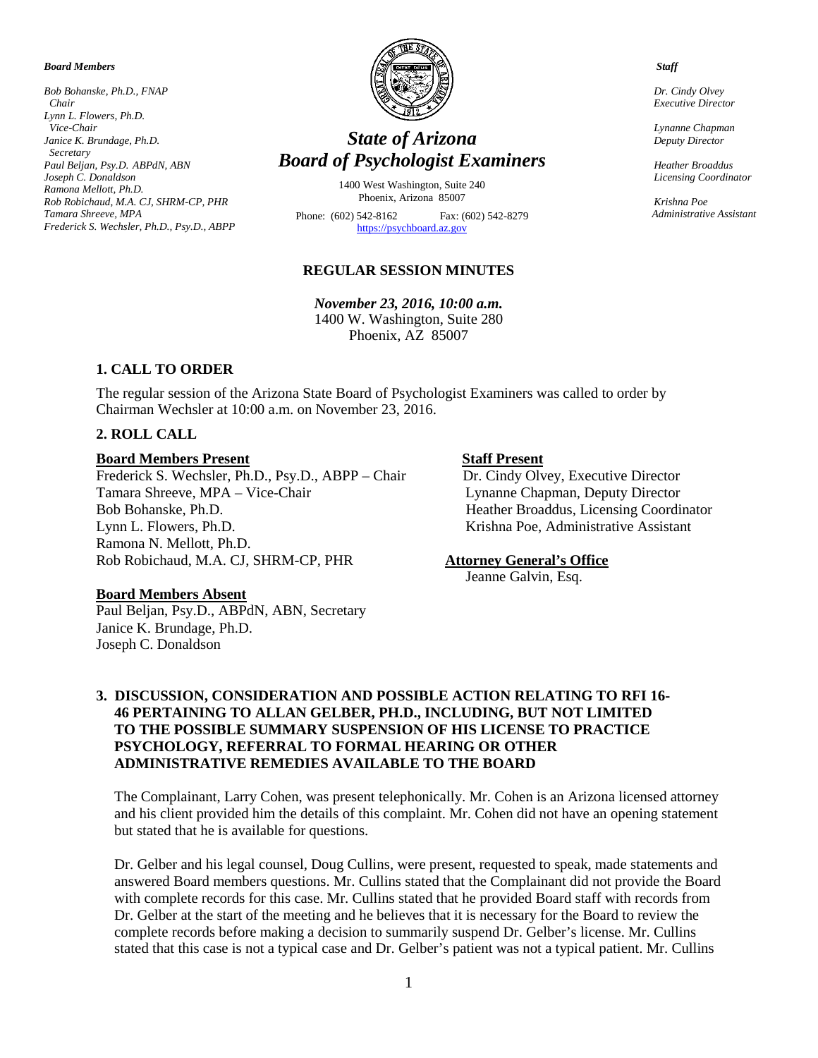#### *Board Members*

*Bob Bohanske, Ph.D., FNAP Chair Lynn L. Flowers, Ph.D. Vice-Chair Janice K. Brundage, Ph.D. Secretary Paul Beljan, Psy.D. ABPdN, ABN Joseph C. Donaldson Ramona Mellott, Ph.D. Rob Robichaud, M.A. CJ, SHRM-CP, PHR Tamara Shreeve, MPA Frederick S. Wechsler, Ph.D., Psy.D., ABPP*



# *State of Arizona Board of Psychologist Examiners*

1400 West Washington, Suite 240 Phoenix, Arizona 85007

Phone: (602) 542-8162 Fax: (602) 542-8279 [https://psychboard.az.gov](https://psychboard.az.gov/) 

#### **REGULAR SESSION MINUTES**

*November 23, 2016, 10:00 a.m.*  1400 W. Washington, Suite 280 Phoenix, AZ 85007

#### **1. CALL TO ORDER**

The regular session of the Arizona State Board of Psychologist Examiners was called to order by Chairman Wechsler at 10:00 a.m. on November 23, 2016.

### **2. ROLL CALL**

#### **Board Members Present Staff Present**

Frederick S. Wechsler, Ph.D., Psy.D., ABPP – Chair Dr. Cindy Olvey, Executive Director Tamara Shreeve, MPA – Vice-Chair Lynanne Chapman, Deputy Director Tamara Shreeve, MPA - Vice-Chair Bob Bohanske, Ph.D. Heather Broaddus, Licensing Coordinator Lynn L. Flowers, Ph.D. Krishna Poe, Administrative Assistant Ramona N. Mellott, Ph.D. Rob Robichaud, M.A. CJ, SHRM-CP, PHR **Attorney General's Office**

#### **Board Members Absent**

Paul Beljan, Psy.D., ABPdN, ABN, Secretary Janice K. Brundage, Ph.D. Joseph C. Donaldson

Jeanne Galvin, Esq.

## **3. DISCUSSION, CONSIDERATION AND POSSIBLE ACTION RELATING TO RFI 16- 46 PERTAINING TO ALLAN GELBER, PH.D., INCLUDING, BUT NOT LIMITED TO THE POSSIBLE SUMMARY SUSPENSION OF HIS LICENSE TO PRACTICE PSYCHOLOGY, REFERRAL TO FORMAL HEARING OR OTHER ADMINISTRATIVE REMEDIES AVAILABLE TO THE BOARD**

The Complainant, Larry Cohen, was present telephonically. Mr. Cohen is an Arizona licensed attorney and his client provided him the details of this complaint. Mr. Cohen did not have an opening statement but stated that he is available for questions.

Dr. Gelber and his legal counsel, Doug Cullins, were present, requested to speak, made statements and answered Board members questions. Mr. Cullins stated that the Complainant did not provide the Board with complete records for this case. Mr. Cullins stated that he provided Board staff with records from Dr. Gelber at the start of the meeting and he believes that it is necessary for the Board to review the complete records before making a decision to summarily suspend Dr. Gelber's license. Mr. Cullins stated that this case is not a typical case and Dr. Gelber's patient was not a typical patient. Mr. Cullins

 *Staff*

 *Dr. Cindy Olvey Executive Director*

 *Lynanne Chapman Deputy Director*

 *Heather Broaddus Licensing Coordinator* 

 *Krishna Poe Administrative Assistant*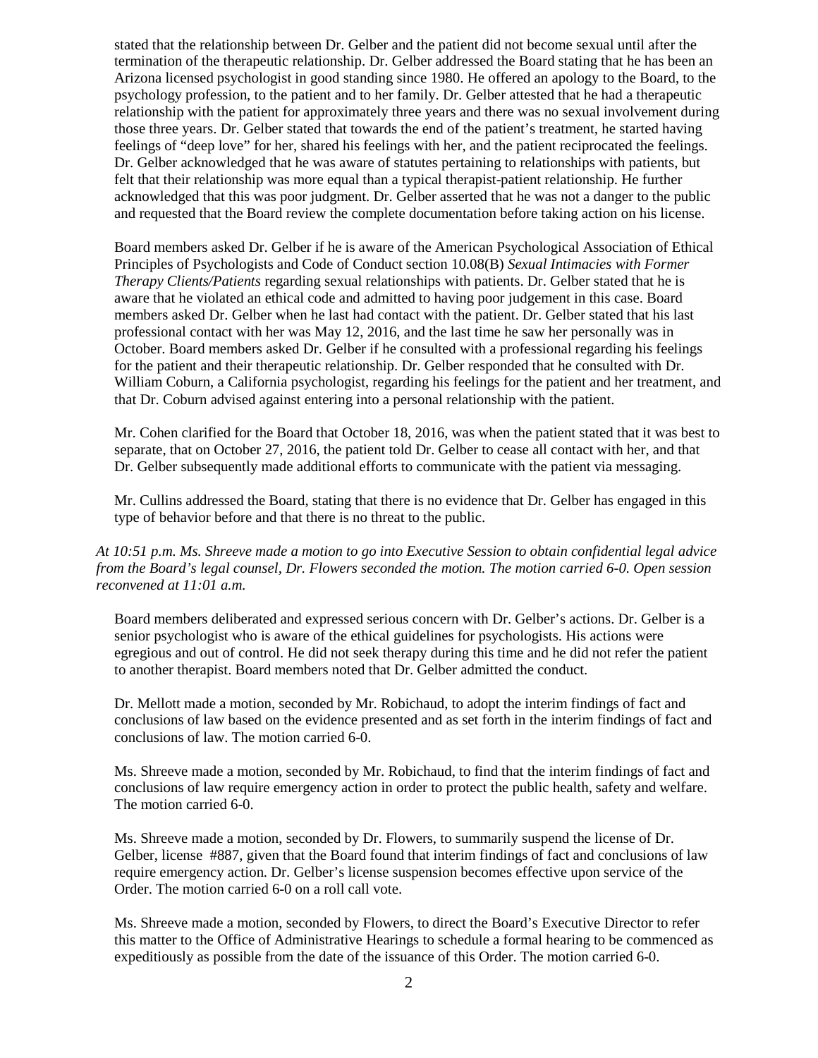stated that the relationship between Dr. Gelber and the patient did not become sexual until after the termination of the therapeutic relationship. Dr. Gelber addressed the Board stating that he has been an Arizona licensed psychologist in good standing since 1980. He offered an apology to the Board, to the psychology profession, to the patient and to her family. Dr. Gelber attested that he had a therapeutic relationship with the patient for approximately three years and there was no sexual involvement during those three years. Dr. Gelber stated that towards the end of the patient's treatment, he started having feelings of "deep love" for her, shared his feelings with her, and the patient reciprocated the feelings. Dr. Gelber acknowledged that he was aware of statutes pertaining to relationships with patients, but felt that their relationship was more equal than a typical therapist-patient relationship. He further acknowledged that this was poor judgment. Dr. Gelber asserted that he was not a danger to the public and requested that the Board review the complete documentation before taking action on his license.

Board members asked Dr. Gelber if he is aware of the American Psychological Association of Ethical Principles of Psychologists and Code of Conduct section 10.08(B) *Sexual Intimacies with Former Therapy Clients/Patients* regarding sexual relationships with patients. Dr. Gelber stated that he is aware that he violated an ethical code and admitted to having poor judgement in this case. Board members asked Dr. Gelber when he last had contact with the patient. Dr. Gelber stated that his last professional contact with her was May 12, 2016, and the last time he saw her personally was in October. Board members asked Dr. Gelber if he consulted with a professional regarding his feelings for the patient and their therapeutic relationship. Dr. Gelber responded that he consulted with Dr. William Coburn, a California psychologist, regarding his feelings for the patient and her treatment, and that Dr. Coburn advised against entering into a personal relationship with the patient.

Mr. Cohen clarified for the Board that October 18, 2016, was when the patient stated that it was best to separate, that on October 27, 2016, the patient told Dr. Gelber to cease all contact with her, and that Dr. Gelber subsequently made additional efforts to communicate with the patient via messaging.

Mr. Cullins addressed the Board, stating that there is no evidence that Dr. Gelber has engaged in this type of behavior before and that there is no threat to the public.

*At 10:51 p.m. Ms. Shreeve made a motion to go into Executive Session to obtain confidential legal advice from the Board's legal counsel, Dr. Flowers seconded the motion. The motion carried 6-0. Open session reconvened at 11:01 a.m.*

Board members deliberated and expressed serious concern with Dr. Gelber's actions. Dr. Gelber is a senior psychologist who is aware of the ethical guidelines for psychologists. His actions were egregious and out of control. He did not seek therapy during this time and he did not refer the patient to another therapist. Board members noted that Dr. Gelber admitted the conduct.

Dr. Mellott made a motion, seconded by Mr. Robichaud, to adopt the interim findings of fact and conclusions of law based on the evidence presented and as set forth in the interim findings of fact and conclusions of law. The motion carried 6-0.

Ms. Shreeve made a motion, seconded by Mr. Robichaud, to find that the interim findings of fact and conclusions of law require emergency action in order to protect the public health, safety and welfare. The motion carried 6-0.

Ms. Shreeve made a motion, seconded by Dr. Flowers, to summarily suspend the license of Dr. Gelber, license #887, given that the Board found that interim findings of fact and conclusions of law require emergency action. Dr. Gelber's license suspension becomes effective upon service of the Order. The motion carried 6-0 on a roll call vote.

Ms. Shreeve made a motion, seconded by Flowers, to direct the Board's Executive Director to refer this matter to the Office of Administrative Hearings to schedule a formal hearing to be commenced as expeditiously as possible from the date of the issuance of this Order. The motion carried 6-0.